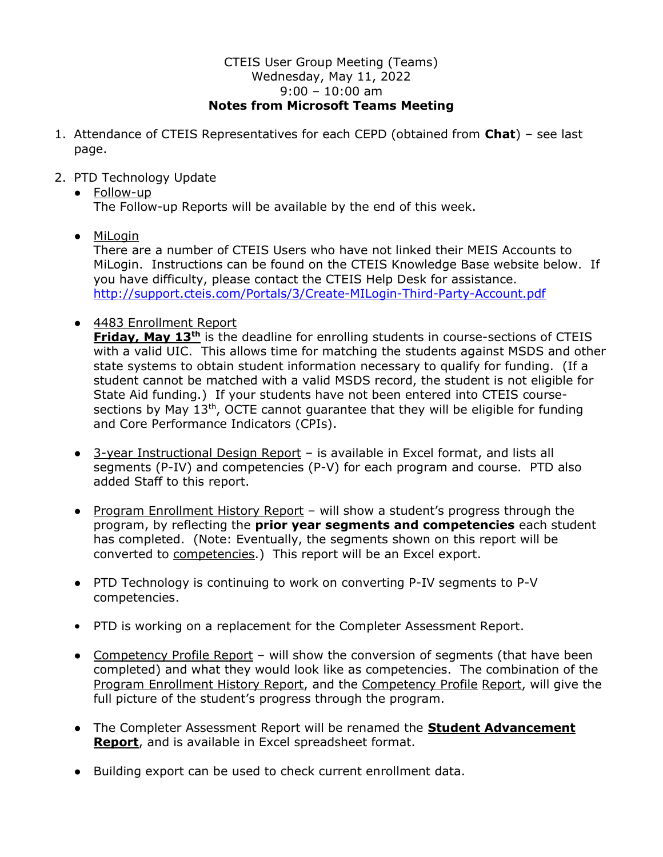## CTEIS User Group Meeting (Teams) Wednesday, May 11, 2022 9:00 – 10:00 am Notes from Microsoft Teams Meeting

- 1. Attendance of CTEIS Representatives for each CEPD (obtained from Chat) see last page.
- 2. PTD Technology Update
	- Follow-up The Follow-up Reports will be available by the end of this week.
	- MiLogin

 There are a number of CTEIS Users who have not linked their MEIS Accounts to MiLogin. Instructions can be found on the CTEIS Knowledge Base website below. If you have difficulty, please contact the CTEIS Help Desk for assistance. http://support.cteis.com/Portals/3/Create-MILogin-Third-Party-Account.pdf

● 4483 Enrollment Report

Friday, May 13<sup>th</sup> is the deadline for enrolling students in course-sections of CTEIS with a valid UIC. This allows time for matching the students against MSDS and other state systems to obtain student information necessary to qualify for funding. (If a student cannot be matched with a valid MSDS record, the student is not eligible for State Aid funding.) If your students have not been entered into CTEIS coursesections by May  $13<sup>th</sup>$ , OCTE cannot quarantee that they will be eligible for funding and Core Performance Indicators (CPIs).

- 3-year Instructional Design Report is available in Excel format, and lists all segments (P-IV) and competencies (P-V) for each program and course. PTD also added Staff to this report.
- Program Enrollment History Report will show a student's progress through the program, by reflecting the **prior year segments and competencies** each student has completed. (Note: Eventually, the segments shown on this report will be converted to competencies.) This report will be an Excel export.
- PTD Technology is continuing to work on converting P-IV segments to P-V competencies.
- PTD is working on a replacement for the Completer Assessment Report.
- Competency Profile Report will show the conversion of segments (that have been completed) and what they would look like as competencies. The combination of the Program Enrollment History Report, and the Competency Profile Report, will give the full picture of the student's progress through the program.
- The Completer Assessment Report will be renamed the **Student Advancement Report**, and is available in Excel spreadsheet format.
- Building export can be used to check current enrollment data.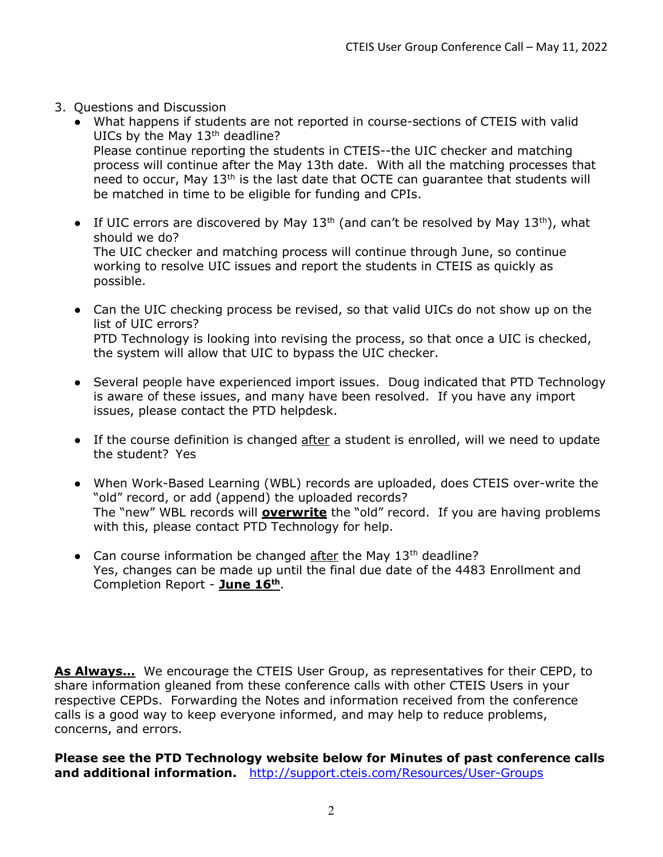- 3. Questions and Discussion
	- What happens if students are not reported in course-sections of CTEIS with valid UICs by the May 13<sup>th</sup> deadline? Please continue reporting the students in CTEIS--the UIC checker and matching process will continue after the May 13th date. With all the matching processes that need to occur, May 13th is the last date that OCTE can guarantee that students will be matched in time to be eligible for funding and CPIs.
	- If UIC errors are discovered by May  $13<sup>th</sup>$  (and can't be resolved by May  $13<sup>th</sup>$ ), what should we do? The UIC checker and matching process will continue through June, so continue working to resolve UIC issues and report the students in CTEIS as quickly as possible.
	- Can the UIC checking process be revised, so that valid UICs do not show up on the list of UIC errors? PTD Technology is looking into revising the process, so that once a UIC is checked, the system will allow that UIC to bypass the UIC checker.
	- Several people have experienced import issues. Doug indicated that PTD Technology is aware of these issues, and many have been resolved. If you have any import issues, please contact the PTD helpdesk.
	- If the course definition is changed after a student is enrolled, will we need to update the student? Yes
	- When Work-Based Learning (WBL) records are uploaded, does CTEIS over-write the "old" record, or add (append) the uploaded records? The "new" WBL records will **overwrite** the "old" record. If you are having problems with this, please contact PTD Technology for help.
	- Can course information be changed after the May  $13<sup>th</sup>$  deadline? Yes, changes can be made up until the final due date of the 4483 Enrollment and Completion Report - June 16<sup>th</sup>.

As Always... We encourage the CTEIS User Group, as representatives for their CEPD, to share information gleaned from these conference calls with other CTEIS Users in your respective CEPDs. Forwarding the Notes and information received from the conference calls is a good way to keep everyone informed, and may help to reduce problems, concerns, and errors.

Please see the PTD Technology website below for Minutes of past conference calls and additional information. http://support.cteis.com/Resources/User-Groups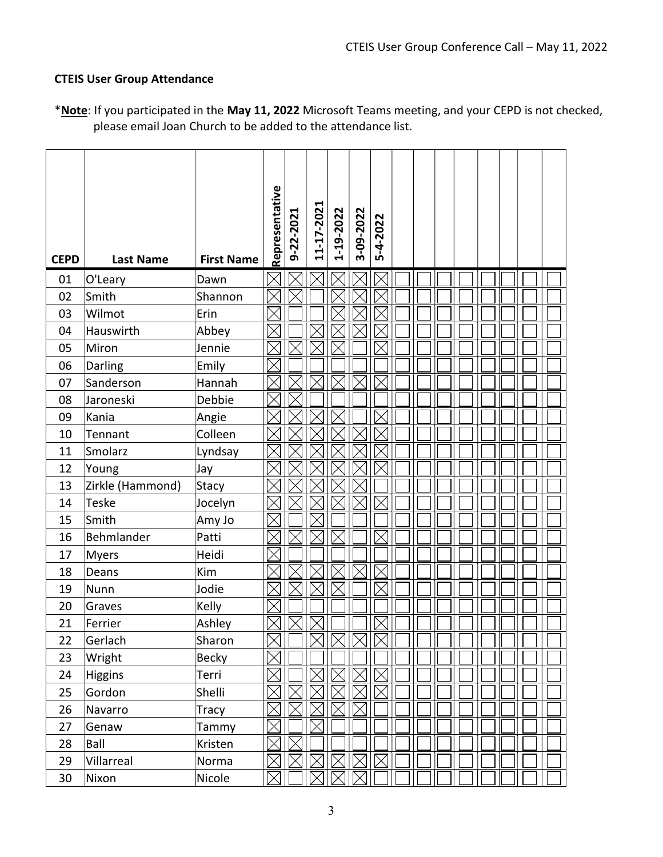## CTEIS User Group Attendance

|             |                  |                   | Representative | 9-22-2021 | 11-17-2021  | 1-19-2022   | 3-09-2022   |             |  |  |  |  |
|-------------|------------------|-------------------|----------------|-----------|-------------|-------------|-------------|-------------|--|--|--|--|
| <b>CEPD</b> | <b>Last Name</b> | <b>First Name</b> |                |           |             |             |             | 5-4-2022    |  |  |  |  |
| 01          | O'Leary          | Dawn              |                |           |             |             |             |             |  |  |  |  |
| 02          | Smith            | Shannon           |                |           |             |             |             |             |  |  |  |  |
| 03          | Wilmot           | Erin              |                |           |             |             |             |             |  |  |  |  |
| 04          | Hauswirth        | Abbey             |                |           |             |             |             |             |  |  |  |  |
| 05          | Miron            | Jennie            |                |           |             |             |             |             |  |  |  |  |
| 06          | Darling          | Emily             |                |           |             |             |             |             |  |  |  |  |
| 07          | Sanderson        | Hannah            |                |           | $\boxtimes$ |             |             |             |  |  |  |  |
| 08          | Jaroneski        | Debbie            |                |           |             |             |             |             |  |  |  |  |
| 09          | Kania            | Angie             |                |           |             |             |             |             |  |  |  |  |
| 10          | Tennant          | Colleen           |                |           |             |             |             |             |  |  |  |  |
| 11          | Smolarz          | Lyndsay           |                |           |             |             |             |             |  |  |  |  |
| 12          | Young            | Jay               |                |           |             |             |             |             |  |  |  |  |
| 13          | Zirkle (Hammond) | Stacy             |                |           |             |             |             |             |  |  |  |  |
| 14          | <b>Teske</b>     | Jocelyn           |                |           |             |             |             |             |  |  |  |  |
| 15          | Smith            | Amy Jo            |                |           |             |             |             |             |  |  |  |  |
| 16          | Behmlander       | Patti             |                |           |             |             |             |             |  |  |  |  |
| 17          | Myers            | Heidi             |                |           |             |             |             |             |  |  |  |  |
| 18          | Deans            | Kim               |                |           |             |             |             |             |  |  |  |  |
| 19          | Nunn             | Jodie             |                |           |             |             |             |             |  |  |  |  |
| 20          | Graves           | Kelly             |                |           |             |             |             |             |  |  |  |  |
| 21          | Ferrier          | Ashley            |                |           |             |             |             |             |  |  |  |  |
| 22          | Gerlach          | Sharon            | $\times$       |           | $\boxtimes$ | $\boxtimes$ | $\boxtimes$ | $\boxtimes$ |  |  |  |  |
| 23          | Wright           | <b>Becky</b>      |                |           |             |             |             |             |  |  |  |  |
| 24          | <b>Higgins</b>   | Terri             |                |           |             |             |             |             |  |  |  |  |
| 25          | Gordon           | Shelli            |                |           |             |             |             |             |  |  |  |  |
| 26          | Navarro          | Tracy             |                |           |             |             |             |             |  |  |  |  |
| 27          | Genaw            | Tammy             | $\times$       |           |             |             |             |             |  |  |  |  |
| 28          | Ball             | Kristen           |                |           |             |             |             |             |  |  |  |  |
| 29          | Villarreal       | Norma             |                |           |             |             |             |             |  |  |  |  |
| 30          | Nixon            | Nicole            |                |           |             |             |             |             |  |  |  |  |

\*Note: If you participated in the May 11, 2022 Microsoft Teams meeting, and your CEPD is not checked, please email Joan Church to be added to the attendance list.